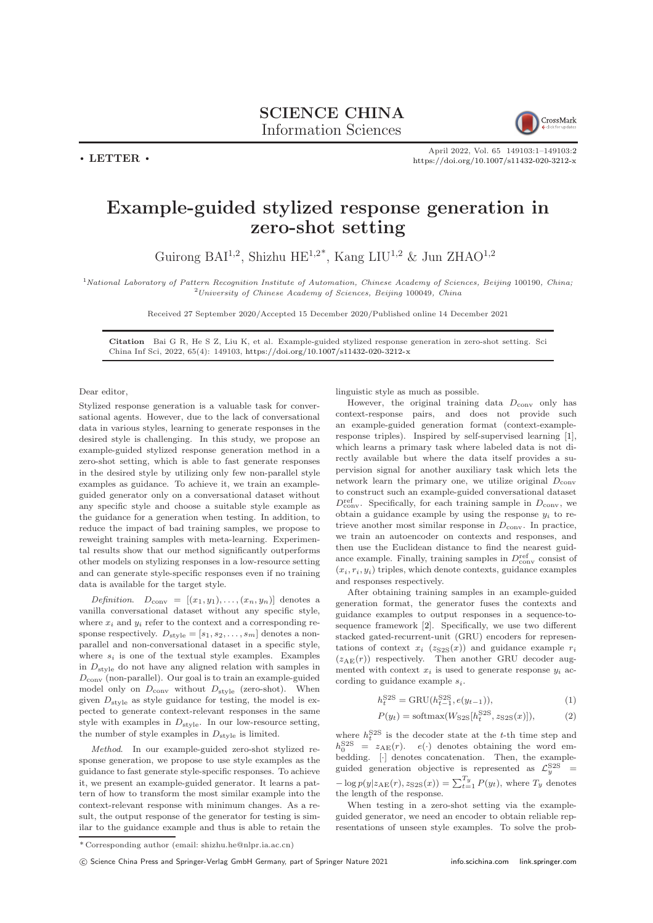

 $\cdot$  LETTER  $\cdot$ 

April 2022, Vol. 65 149103:1–149103[:2](#page-1-0) <https://doi.org/10.1007/s11432-020-3212-x>

## Example-guided stylized response generation in zero-shot setting

Guirong BAI<sup>1,2</sup>, Shizhu HE<sup>1,2\*</sup>, Kang LIU<sup>1,2</sup> & Jun ZHAO<sup>1,2</sup>

<sup>1</sup>National Laboratory of Pattern Recognition Institute of Automation, Chinese Academy of Sciences, Beijing 100190, China; <sup>2</sup>University of Chinese Academy of Sciences, Beijing 100049, China

Received 27 September 2020/Accepted 15 December 2020/Published online 14 December 2021

Citation Bai G R, He S Z, Liu K, et al. Example-guided stylized response generation in zero-shot setting. Sci China Inf Sci, 2022, 65(4): 149103, <https://doi.org/10.1007/s11432-020-3212-x>

Dear editor,

Stylized response generation is a valuable task for conversational agents. However, due to the lack of conversational data in various styles, learning to generate responses in the desired style is challenging. In this study, we propose an example-guided stylized response generation method in a zero-shot setting, which is able to fast generate responses in the desired style by utilizing only few non-parallel style examples as guidance. To achieve it, we train an exampleguided generator only on a conversational dataset without any specific style and choose a suitable style example as the guidance for a generation when testing. In addition, to reduce the impact of bad training samples, we propose to reweight training samples with meta-learning. Experimental results show that our method significantly outperforms other models on stylizing responses in a low-resource setting and can generate style-specific responses even if no training data is available for the target style.

*Definition.*  $D_{conv} = [(x_1, y_1), \ldots, (x_n, y_n)]$  denotes a vanilla conversational dataset without any specific style, where  $x_i$  and  $y_i$  refer to the context and a corresponding response respectively.  $D_{\text{style}} = [s_1, s_2, \ldots, s_m]$  denotes a nonparallel and non-conversational dataset in a specific style, where  $s_i$  is one of the textual style examples. Examples in  $D_{\text{style}}$  do not have any aligned relation with samples in  $D_{\text{conv}}$  (non-parallel). Our goal is to train an example-guided model only on  $D_{\text{conv}}$  without  $D_{\text{style}}$  (zero-shot). When given  $D_{\text{style}}$  as style guidance for testing, the model is expected to generate context-relevant responses in the same style with examples in  $D_{\text{style}}$ . In our low-resource setting, the number of style examples in  $D_{\text{style}}$  is limited.

Method. In our example-guided zero-shot stylized response generation, we propose to use style examples as the guidance to fast generate style-specific responses. To achieve it, we present an example-guided generator. It learns a pattern of how to transform the most similar example into the context-relevant response with minimum changes. As a result, the output response of the generator for testing is similar to the guidance example and thus is able to retain the linguistic style as much as possible.

However, the original training data  $D_{\text{conv}}$  only has context-response pairs, and does not provide such an example-guided generation format (context-exampleresponse triples). Inspired by self-supervised learning [\[1\]](#page-1-1), which learns a primary task where labeled data is not directly available but where the data itself provides a supervision signal for another auxiliary task which lets the network learn the primary one, we utilize original  $D_{\text{conv}}$ to construct such an example-guided conversational dataset  $D_{\text{conv}}^{\text{ref}}$ . Specifically, for each training sample in  $D_{\text{conv}}$ , we obtain a guidance example by using the response  $y_i$  to retrieve another most similar response in  $D_{\text{conv}}$ . In practice, we train an autoencoder on contexts and responses, and then use the Euclidean distance to find the nearest guidance example. Finally, training samples in  $D_{\text{conv}}^{\text{ref}}$  consist of  $(x_i, r_i, y_i)$  triples, which denote contexts, guidance examples and responses respectively.

After obtaining training samples in an example-guided generation format, the generator fuses the contexts and guidance examples to output responses in a sequence-tosequence framework [\[2\]](#page-1-2). Specifically, we use two different stacked gated-recurrent-unit (GRU) encoders for representations of context  $x_i$  ( $z_{S2S}(x)$ ) and guidance example  $r_i$  $(z_{AE}(r))$  respectively. Then another GRU decoder augmented with context  $x_i$  is used to generate response  $y_i$  according to guidance example  $s_i$ .

$$
h_t^{\text{S2S}} = \text{GRU}(h_{t-1}^{\text{S2S}}, e(y_{t-1})),\tag{1}
$$

$$
P(y_t) = \text{softmax}(W_{S2S}[h_t^{S2S}, z_{S2S}(x)]),
$$
 (2)

where  $h_t^{\text{S2S}}$  is the decoder state at the t-th time step and  $h_0^{\text{S2S}} = z_{\text{AE}}(r)$ .  $e(\cdot)$  denotes obtaining the word embedding.  $[\cdot]$  denotes concatenation. Then, the exampleguided generation objective is represented as  $\mathcal{L}_y^{\text{S2S}} =$  $-\log p(y|z_{\text{AE}}(r), z_{\text{S2S}}(x)) = \sum_{t=1}^{T_y} P(y_t)$ , where  $T_y$  denotes the length of the response.

When testing in a zero-shot setting via the exampleguided generator, we need an encoder to obtain reliable representations of unseen style examples. To solve the prob-

<sup>\*</sup> Corresponding author (email: shizhu.he@nlpr.ia.ac.cn)

c Science China Press and Springer-Verlag GmbH Germany, part of Springer Nature 2021 <info.scichina.com><link.springer.com>